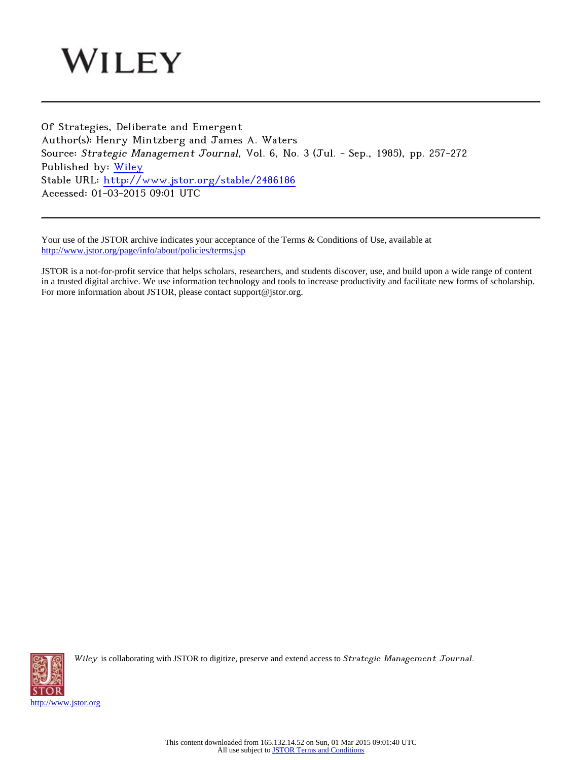

Of Strategies, Deliberate and Emergent Author(s): Henry Mintzberg and James A. Waters Source: Strategic Management Journal, Vol. 6, No. 3 (Jul. - Sep., 1985), pp. 257-272 Published by: [Wiley](http://www.jstor.org/action/showPublisher?publisherCode=black) Stable URL: <http://www.jstor.org/stable/2486186> Accessed: 01-03-2015 09:01 UTC

Your use of the JSTOR archive indicates your acceptance of the Terms & Conditions of Use, available at <http://www.jstor.org/page/info/about/policies/terms.jsp>

JSTOR is a not-for-profit service that helps scholars, researchers, and students discover, use, and build upon a wide range of content in a trusted digital archive. We use information technology and tools to increase productivity and facilitate new forms of scholarship. For more information about JSTOR, please contact support@jstor.org.



Wiley is collaborating with JSTOR to digitize, preserve and extend access to Strategic Management Journal.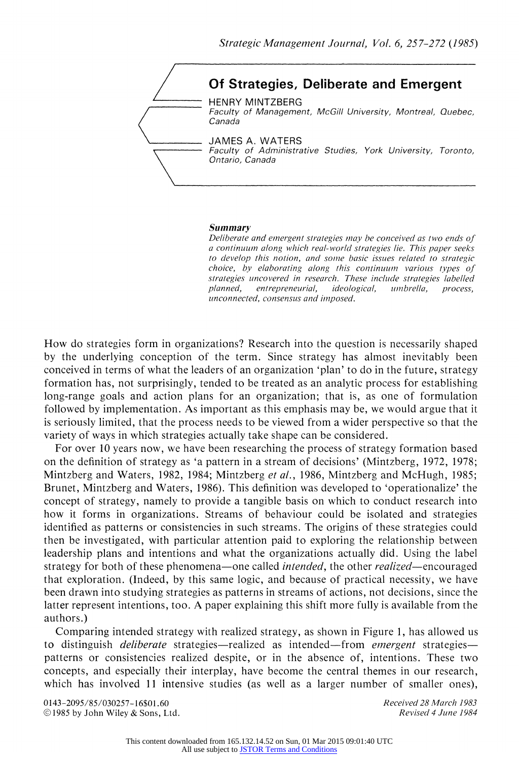

#### **Summary**

**Deliberate and emergent strategies may be conceived as two ends of** a continuum along which real-world strategies lie. This paper seeks **to develop this notion, and some basic issues related to strategic** choice, by elaborating along this continuum various types of strategies uncovered in research. These include strategies labelled planned, entrepreneurial, ideological, umbrella, process, unconnected, consensus and imposed.

**How do strategies form in organizations? Research into the question is necessarily shaped by the underlying conception of the term. Since strategy has almost inevitably been conceived in terms of what the leaders of an organization 'plan' to do in the future, strategy formation has, not surprisingly, tended to be treated as an analytic process for establishing long-range goals and action plans for an organization; that is, as one of formulation followed by implementation. As important as this emphasis may be, we would argue that it is seriously limited, that the process needs to be viewed from a wider perspective so that the variety of ways in which strategies actually take shape can be considered.** 

**For over 10 years now, we have been researching the process of strategy formation based on the definition of strategy as 'a pattern in a stream of decisions' (Mintzberg, 1972, 1978; Mintzberg and Waters, 1982, 1984; Mintzberg et al., 1986, Mintzberg and McHugh, 1985; Brunet, Mintzberg and Waters, 1986). This definition was developed to 'operationalize' the concept of strategy, namely to provide a tangible basis on which to conduct research into how it forms in organizations. Streams of behaviour could be isolated and strategies identified as patterns or consistencies in such streams. The origins of these strategies could then be investigated, with particular attention paid to exploring the relationship between leadership plans and intentions and what the organizations actually did. Using the label strategy for both of these phenomena-one called intended, the other realized-encouraged that exploration. (Indeed, by this same logic, and because of practical necessity, we have been drawn into studying strategies as patterns in streams of actions, not decisions, since the latter represent intentions, too. A paper explaining this shift more fully is available from the authors.)** 

**Comparing intended strategy with realized strategy, as shown in Figure 1, has allowed us**  to distinguish *deliberate* strategies—realized as intended—from *emergent* strategies **patterns or consistencies realized despite, or in the absence of, intentions. These two concepts, and especially their interplay, have become the central themes in our research, which has involved 11 intensive studies (as well as a larger number of smaller ones),**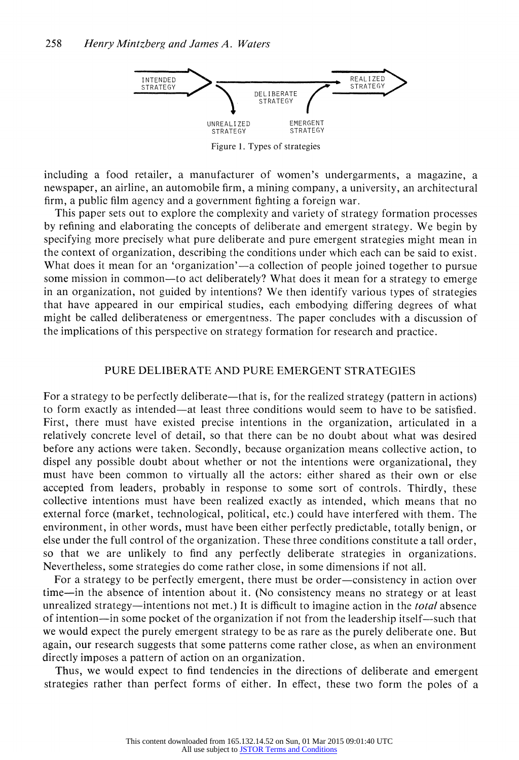

**'Figure 1. Types of strategies** 

**including a food retailer, a manufacturer of women's undergarments, a magazine, a newspaper, an airline, an automobile firm, a mining company, a university, an architectural firm, a public film agency and a government fighting a foreign war.** 

**This paper sets out to explore the complexity and variety of strategy formation processes by refining and elaborating the concepts of deliberate and emergent strategy. We begin by specifying more precisely what pure deliberate and pure emergent strategies might mean in the context of organization, describing the conditions under which each can be said to exist.**  What does it mean for an 'organization'—a collection of people joined together to pursue **some mission in common-to act deliberately? What does it mean for a strategy to emerge in an organization, not guided by intentions? We then identify various types of strategies that have appeared in our empirical studies, each embodying differing degrees of what might be called deliberateness or emergentness. The paper concludes with a discussion of the implications of this perspective on strategy formation for research and practice.** 

# **PURE DELIBERATE AND PURE EMERGENT STRATEGIES**

For a strategy to be perfectly deliberate—that is, for the realized strategy (pattern in actions) **to form exactly as intended-at least three conditions would seem to have to be satisfied. First, there must have existed precise intentions in the organization, articulated in a relatively concrete level of detail, so that there can be no doubt about what was desired before any actions were taken. Secondly, because organization means collective action, to dispel any possible doubt about whether or not the intentions were organizational, they must have been common to virtually all the actors: either shared as their own or else accepted from leaders, probably in response to some sort of controls. Thirdly, these collective intentions must have been realized exactly as intended, which means that no external force (market, technological, political, etc.) could have interfered with them. The environment, in other words, must have been either perfectly predictable, totally benign, or else under the full control of the organization. These three conditions constitute a tall order, so that we are unlikely to find any perfectly deliberate strategies in organizations. Nevertheless, some strategies do come rather close, in some dimensions if not all.** 

**For a strategy to be perfectly emergent, there must be order-consistency in action over time-in the absence of intention about it. (No consistency means no strategy or at least unrealized strategy-intentions not met.) It is difficult to imagine action in the total absence**  of intention—in some pocket of the organization if not from the leadership itself—such that **we would expect the purely emergent strategy to be as rare as the purely deliberate one. But again, our research suggests that some patterns come rather close, as when an environment directly imposes a pattern of action on an organization.** 

**Thus, we would expect to find tendencies in the directions of deliberate and emergent strategies rather than perfect forms of either. In effect, these two form the poles of a**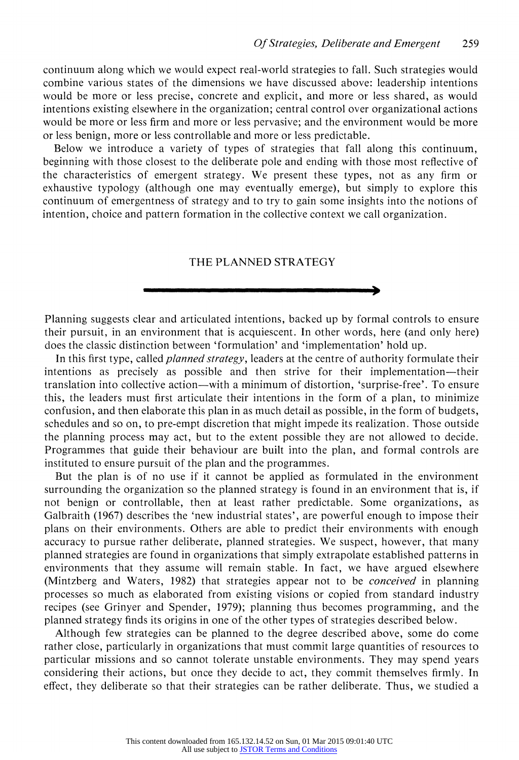**continuum along which we would expect real-world strategies to fall. Such strategies would combine various states of the dimensions we have discussed above: leadership intentions would be more or less precise, concrete and explicit, and more or less shared, as would intentions existing elsewhere in the organization; central control over organizational actions would be more or less firm and more or less pervasive; and the environment would be more or less benign, more or less controllable and more or less predictable.** 

**Below we introduce a variety of types of strategies that fall along this continuum, beginning with those closest to the deliberate pole and ending with those most reflective of the characteristics of emergent strategy. We present these types, not as any firm or exhaustive typology (although one may eventually emerge), but simply to explore this continuum of emergentness of strategy and to try to gain some insights into the notions of intention, choice and pattern formation in the collective context we call organization.** 

## **THE PLANNED STRATEGY**

**Planning suggests clear and articulated intentions, backed up by formal controls to ensure their pursuit, in an environment that is acquiescent. In other words, here (and only here) does the classic distinction between 'formulation' and 'implementation' hold up.** 

**In this first type, called planned strategy, leaders at the centre of authority formulate their intentions as precisely as possible and then strive for their implementation-their translation into collective action-with a minimum of distortion, 'surprise-free'. To ensure this, the leaders must first articulate their intentions in the form of a plan, to minimize confusion, and then elaborate this plan in as much detail as possible, in the form of budgets, schedules and so on, to pre-empt discretion that might impede its realization. Those outside the planning process may act, but to the extent possible they are not allowed to decide. Programmes that guide their behaviour are built into the plan, and formal controls are instituted to ensure pursuit of the plan and the programmes.** 

**But the plan is of no use if it cannot be applied as formulated in the environment surrounding the organization so the planned strategy is found in an environment that is, if not benign or controllable, then at least rather predictable. Some organizations, as Galbraith (1967) describes the 'new industrial states', are powerful enough to impose their plans on their environments. Others are able to predict their environments with enough accuracy to pursue rather deliberate, planned strategies. We suspect, however, that many planned strategies are found in organizations that simply extrapolate established patterns in environments that they assume will remain stable. In fact, we have argued elsewhere (Mintzberg and Waters, 1982) that strategies appear not to be conceived in planning processes so much as elaborated from existing visions or copied from standard industry recipes (see Grinyer and Spender, 1979); planning thus becomes programming, and the planned strategy finds its origins in one of the other types of strategies described below.** 

**Although few strategies can be planned to the degree described above, some do come rather close, particularly in organizations that must commit large quantities of resources to particular missions and so cannot tolerate unstable environments. They may spend years considering their actions, but once they decide to act, they commit themselves firmly. In effect, they deliberate so that their strategies can be rather deliberate. Thus, we studied a**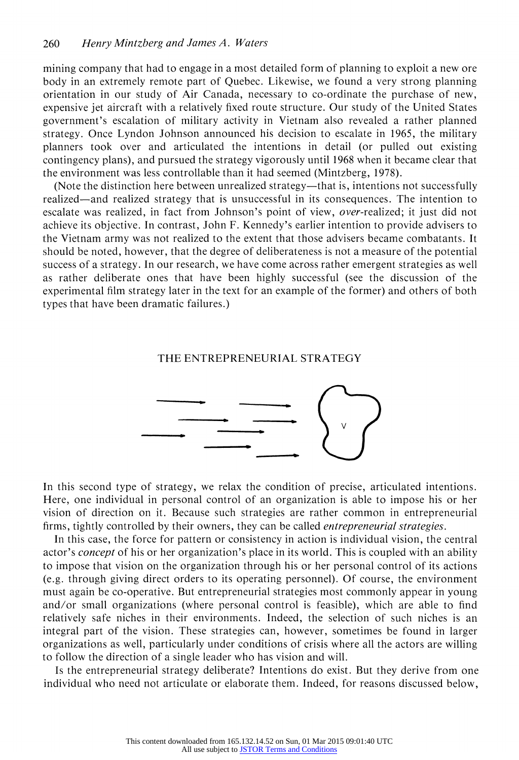**mining company that had to engage in a most detailed form of planning to exploit a new ore body in an extremely remote part of Quebec. Likewise, we found a very strong planning orientation in our study of Air Canada, necessary to co-ordinate the purchase of new, expensive jet aircraft with a relatively fixed route structure. Our study of the United States government's escalation of military activity in Vietnam also revealed a rather planned strategy. Once Lyndon Johnson announced his decision to escalate in 1965, the military planners took over and articulated the intentions in detail (or pulled out existing contingency plans), and pursued the strategy vigorously until 1968 when it became clear that the environment was less controllable than it had seemed (Mintzberg, 1978).** 

**(Note the distinction here between unrealized strategy-that is, intentions not successfully realized-and realized strategy that is unsuccessful in its consequences. The intention to escalate was realized, in fact from Johnson's point of view, over-realized; it just did not achieve its objective. In contrast, John F. Kennedy's earlier intention to provide advisers to the Vietnam army was not realized to the extent that those advisers became combatants. It should be noted, however, that the degree of deliberateness is not a measure of the potential success of a strategy. In our research, we have come across rather emergent strategies as well as rather deliberate ones that have been highly successful (see the discussion of the experimental film strategy later in the text for an example of the former) and others of both types that have been dramatic failures.)** 

# **THE ENTREPRENEURIAL STRATEGY**



**In this second type of strategy, we relax the condition of precise, articulated intentions. Here, one individual in personal control of an organization is able to impose his or her vision of direction on it. Because such strategies are rather common in entrepreneurial firms, tightly controlled by their owners, they can be called entrepreneurial strategies.** 

**In this case, the force for pattern or consistency in action is individual vision, the central actor's concept of his or her organization's place in its world. This is coupled with an ability to impose that vision on the organization through his or her personal control of its actions (e.g. through giving direct orders to its operating personnel). Of course, the environment must again be co-operative. But entrepreneurial strategies most commonly appear in young and/or small organizations (where personal control is feasible), which are able to find relatively safe niches in their environments. Indeed, the selection of such niches is an integral part of the vision. These strategies can, however, sometimes be found in larger organizations as well, particularly under conditions of crisis where all the actors are willing to follow the direction of a single leader who has vision and will.** 

**Is the entrepreneurial strategy deliberate? Intentions do exist. But they derive from one individual who need not articulate or elaborate them. Indeed, for reasons discussed below,**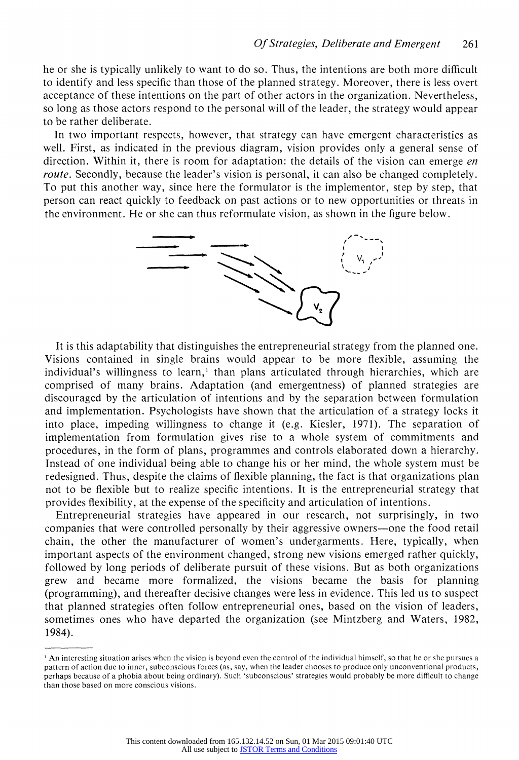**he or she is typically unlikely to want to do so. Thus, the intentions are both more difficult to identify and less specific than those of the planned strategy. Moreover, there is less overt acceptance of these intentions on the part of other actors in the organization. Nevertheless, so long as those actors respond to the personal will of the leader, the strategy would appear to be rather deliberate.** 

**In two important respects, however, that strategy can have emergent characteristics as well. First, as indicated in the previous diagram, vision provides only a general sense of direction. Within it, there is room for adaptation: the details of the vision can emerge en route. Secondly, because the leader's vision is personal, it can also be changed completely. To put this another way, since here the formulator is the implementor, step by step, that person can react quickly to feedback on past actions or to new opportunities or threats in the environment. He or she can thus reformulate vision, as shown in the figure below.** 



**It is this adaptability that distinguishes the entrepreneurial strategy from the planned one. Visions contained in single brains would appear to be more flexible, assuming the individual's willingness to learn,' than plans articulated through hierarchies, which are comprised of many brains. Adaptation (and emergentness) of planned strategies are discouraged by the articulation of intentions and by the separation between formulation and implementation. Psychologists have shown that the articulation of a strategy locks it into place, impeding willingness to change it (e.g. Kiesler, 1971). The separation of implementation from formulation gives rise to a whole system of commitments and procedures, in the form of plans, programmes and controls elaborated down a hierarchy. Instead of one individual being able to change his or her mind, the whole system must be redesigned. Thus, despite the claims of flexible planning, the fact is that organizations plan not to be flexible but to realize specific intentions. It is the entrepreneurial strategy that provides flexibility, at the expense of the specificity and articulation of intentions.** 

**Entrepreneurial strategies have appeared in our research, not surprisingly, in two companies that were controlled personally by their aggressive owners-one the food retail chain, the other the manufacturer of women's undergarments. Here, typically, when important aspects of the environment changed, strong new visions emerged rather quickly,**  followed by long periods of deliberate pursuit of these visions. But as both organizations **grew and became more formalized, the visions became the basis for planning (programming), and thereafter decisive changes were less in evidence. This led us to suspect that planned strategies often follow entrepreneurial ones, based on the vision of leaders, sometimes ones who have departed the organization (see Mintzberg and Waters, 1982, 1984).** 

**<sup>I</sup>An interesting situation arises when the vision is beyond even the control of the individual himself, so that he or she pursues a pattern of action due to inner, subconscious forces (as, say, when the leader chooses to produce only unconventional products, perhaps because of a phobia about being ordinary). Such 'subconscious' strategies would probably be more difficult to change**  than those based on more conscious visions.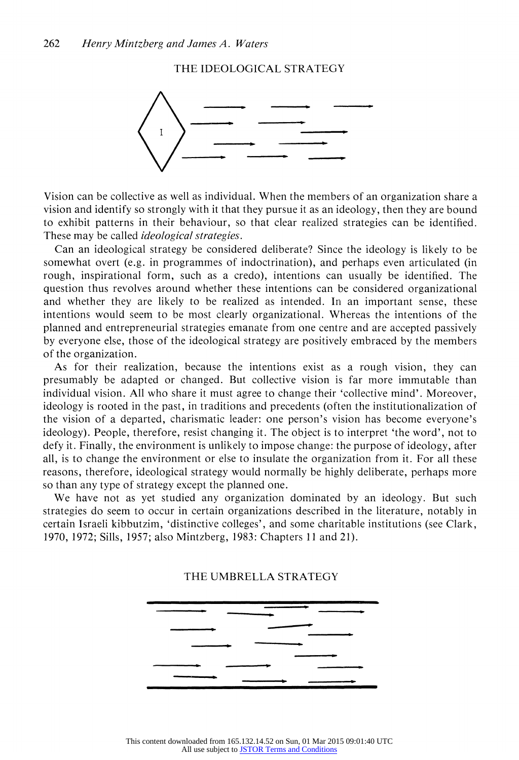# **THE IDEOLOGICAL STRATEGY**



**Vision can be collective as well as individual. When the members of an organization share a vision and identify so strongly with it that they pursue it as an ideology, then they are bound to exhibit patterns in their behaviour, so that clear realized strategies can be identified. These may be called ideological strategies.** 

**Can an ideological strategy be considered deliberate? Since the ideology is likely to be somewhat overt (e.g. in programmes of indoctrination), and perhaps even articulated (in rough, inspirational form, such as a credo), intentions can usually be identified. The question thus revolves around whether these intentions can be considered organizational and whether they are likely to be realized as intended. In an important sense, these intentions would seem to be most clearly organizational. Whereas the intentions of the planned and entrepreneurial strategies emanate from one centre and are accepted passively by everyone else, those of the ideological strategy are positively embraced by the members of the organization.** 

**As for their realization, because the intentions exist as a rough vision, they can presumably be adapted or changed. But collective vision is far more immutable than individual vision. All who share it must agree to change their 'collective mind'. Moreover, ideology is rooted in the past, in traditions and precedents (often the institutionalization of the vision of a departed, charismatic leader: one person's vision has become everyone's ideology). People, therefore, resist changing it. The object is to interpret 'the word', not to defy it. Finally, the environment is unlikely to impose change: the purpose of ideology, after all, is to change the environment or else to insulate the organization from it. For all these reasons, therefore, ideological strategy would normally be highly deliberate, perhaps more so than any type of strategy except the planned one.** 

**We have not as yet studied any organization dominated by an ideology. But such strategies do seem to occur in certain organizations described in the literature, notably in certain Israeli kibbutzim, 'distinctive colleges', and some charitable institutions (see Clark, 1970, 1972; Sills, 1957; also Mintzberg, 1983: Chapters 11 and 21).** 

### **THE UMBRELLA STRATEGY**



This content downloaded from 165.132.14.52 on Sun, 01 Mar 2015 09:01:40 UTC All use subject to [JSTOR Terms and Conditions](http://www.jstor.org/page/info/about/policies/terms.jsp)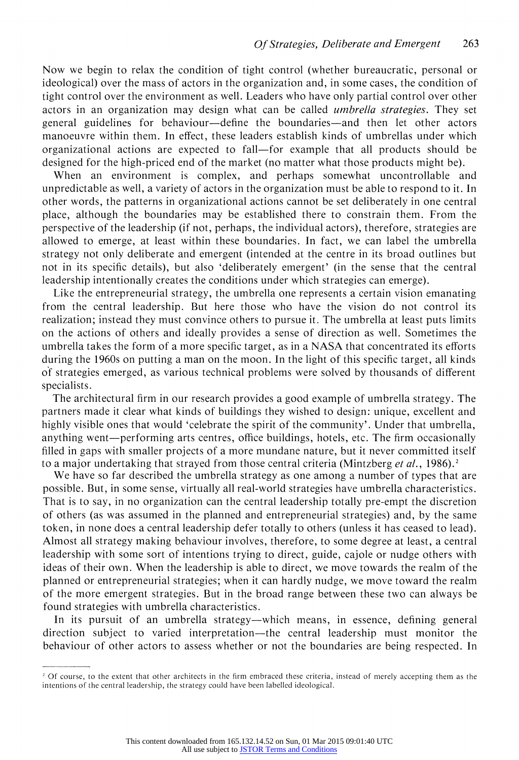**Now we begin to relax the condition of tight control (whether bureaucratic, personal or ideological) over the mass of actors in the organization and, in some cases, the condition of tight control over the environment as well. Leaders who have only partial control over other actors in an organization may design what can be called umbrella strategies. They set general guidelines for behaviour-define the boundaries-and then let other actors manoeuvre within them. In effect, these leaders establish kinds of umbrellas under which organizational actions are expected to fall-for example that all products should be designed for the high-priced end of the market (no matter what those products might be).** 

**When an environment is complex, and perhaps somewhat uncontrollable and unpredictable as well, a variety of actors in the organization must be able to respond to it. In other words, the patterns in organizational actions cannot be set deliberately in one central place, although the boundaries may be established there to constrain them. From the perspective of the leadership (if not, perhaps, the individual actors), therefore, strategies are allowed to emerge, at least within these boundaries. In fact, we can label the umbrella strategy not only deliberate and emergent (intended at the centre in its broad outlines but not in its specific details), but also 'deliberately emergent' (in the sense that the central leadership intentionally creates the conditions under which strategies can emerge).** 

**Like the entrepreneurial strategy, the umbrella one represents a certain vision emanating from the central leadership. But here those who have the vision do not control its realization; instead they must convince others to pursue it. The umbrella at least puts limits on the actions of others and ideally provides a sense of direction as well. Sometimes the umbrella takes the form of a more specific target, as in a NASA that concentrated its efforts during the 1960s on putting a man on the moon. In the light of this specific target, all kinds of strategies emerged, as various technical problems were solved by thousands of different specialists.** 

**The architectural firm in our research provides a good example of umbrella strategy. The partners made it clear what kinds of buildings they wished to design: unique, excellent and highly visible ones that would 'celebrate the spirit of the community'. Under that umbrella, anything went-performing arts centres, office buildings, hotels, etc. The firm occasionally filled in gaps with smaller projects of a more mundane nature, but it never committed itself**  to a major undertaking that strayed from those central criteria (Mintzberg *et al.*, 1986).<sup>2</sup>

**We have so far described the umbrella strategy as one among a number of types that are possible. But, in some sense, virtually all real-world strategies have umbrella characteristics. That is to say, in no organization can the central leadership totally pre-empt the discretion of others (as was assumed in the planned and entrepreneurial strategies) and, by the same token, in none does a central leadership defer totally to others (unless it has ceased to lead). Almost all strategy making behaviour involves, therefore, to some degree at least, a central leadership with some sort of intentions trying to direct, guide, cajole or nudge others with ideas of their own. When the leadership is able to direct, we move towards the realm of the planned or entrepreneurial strategies; when it can hardly nudge, we move toward the realm of the more emergent strategies. But in the broad range between these two can always be found strategies with umbrella characteristics.** 

In its pursuit of an umbrella strategy—which means, in essence, defining general **direction subject to varied interpretation-the central leadership must monitor the behaviour of other actors to assess whether or not the boundaries are being respected. In** 

<sup>&</sup>lt;sup>2</sup> Of course, to the extent that other architects in the firm embraced these criteria, instead of merely accepting them as the **intentions of the central leadership, the strategy could have been labelled ideological.**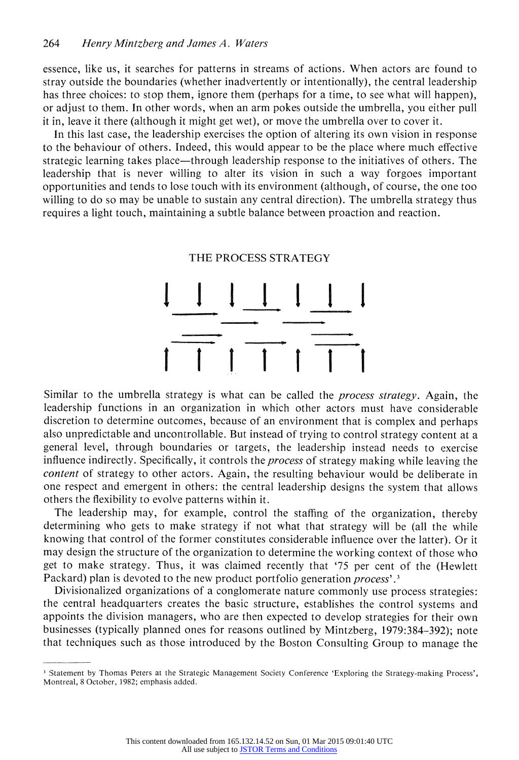**essence, like us, it searches for patterns in streams of actions. When actors are found to stray outside the boundaries (whether inadvertently or intentionally), the central leadership has three choices: to stop them, ignore them (perhaps for a time, to see what will happen), or adjust to them. In other words, when an arm pokes outside the umbrella, you either pull it in, leave it there (although it might get wet), or move the umbrella over to cover it.** 

**In this last case, the leadership exercises the option of altering its own vision in response to the behaviour of others. Indeed, this would appear to be the place where much effective strategic learning takes place-through leadership response to the initiatives of others. The leadership that is never willing to alter its vision in such a way forgoes important opportunities and tends to lose touch with its environment (although, of course, the one too willing to do so may be unable to sustain any central direction). The umbrella strategy thus requires a light touch, maintaining a subtle balance between proaction and reaction.** 

#### **THE PROCESS STRATEGY**



**Similar to the umbrella strategy is what can be called the process strategy. Again, the leadership functions in an organization in which other actors must have considerable discretion to determine outcomes, because of an environment that is complex and perhaps also unpredictable and uncontrollable. But instead of trying to control strategy content at a general level, through boundaries or targets, the leadership instead needs to exercise influence indirectly. Specifically, it controls the process of strategy making while leaving the content of strategy to other actors. Again, the resulting behaviour would be deliberate in**  one respect and emergent in others: the central leadership designs the system that allows **others the flexibility to evolve patterns within it.** 

The leadership may, for example, control the staffing of the organization, thereby **determining who gets to make strategy if not what that strategy will be (all the while knowing that control of the former constitutes considerable influence over the latter). Or it may design the structure of the organization to determine the working context of those who get to make strategy. Thus, it was claimed recently that '75 per cent of the (Hewlett Packard) plan is devoted to the new product portfolio generation process'.3** 

**Divisionalized organizations of a conglomerate nature commonly use process strategies:**  the central headquarters creates the basic structure, establishes the control systems and **appoints the division managers, who are then expected to develop strategies for their own businesses (typically planned ones for reasons outlined by Mintzberg, 1979:384-392); note that techniques such as those introduced by the Boston Consulting Group to manage the** 

<sup>&</sup>lt;sup>3</sup> Statement by Thomas Peters at the Strategic Management Society Conference 'Exploring the Strategy-making Process', **Montreal, 8 October, 1982; emphasis added.**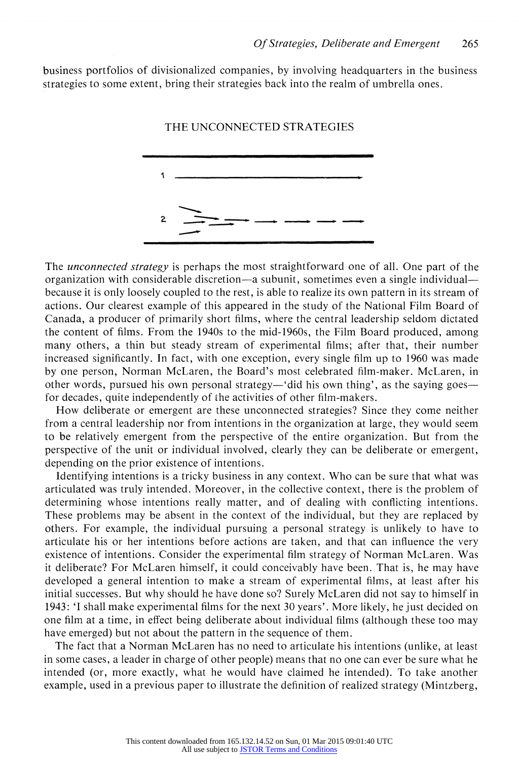**business portfolios of divisionalized companies, by involving headquarters in the business strategies to some extent, bring their strategies back into the realm of umbrella ones.** 



**THE UNCONNECTED STRATEGIES** 

**The unconnected strategy is perhaps the most straightforward one of all. One part of the**  organization with considerable discretion—a subunit, sometimes even a single individual **because it is only loosely coupled to the rest, is able to realize its own pattern in its stream of actions. Our clearest example of this appeared in the study of the National Film Board of Canada, a producer of primarily short films, where the central leadership seldom dictated the content of films. From the 1940s to the mid-1960s, the Film Board produced, among many others, a thin but steady stream of experimental films; after that, their number increased significantly. In fact, with one exception, every single film up to 1960 was made by one person, Norman McLaren, the Board's most celebrated film-maker. McLaren, in**  other words, pursued his own personal strategy—'did his own thing', as the saying goes **for decades, quite independently of the activities of other film-makers.** 

**How deliberate or emergent are these unconnected strategies? Since they come neither from a central leadership nor from intentions in the organization at large, they would seem to be relatively emergent from the perspective of the entire organization. But from the perspective of the unit or individual involved, clearly they can be deliberate or emergent, depending on the prior existence of intentions.** 

**Identifying intentions is a tricky business in any context. Who can be sure that what was articulated was truly intended. Moreover, in the collective context, there is the problem of determining whose intentions really matter, and of dealing with conflicting intentions. These problems may be absent in the context of the individual, but they are replaced by others. For example, the individual pursuing a personal strategy is unlikely to have to articulate his or her intentions before actions are taken, and that can influence the very existence of intentions. Consider the experimental film strategy of Norman McLaren. Was it deliberate? For McLaren himself, it could conceivably have been. That is, he may have developed a general intention to make a stream of experimental films, at least after his initial successes. But why should he have done so? Surely McLaren did not say to himself in 1943: 'I shall make experimental films for the next 30 years'. More likely, he just decided on one film at a time, in effect being deliberate about individual films (although these too may have emerged) but not about the pattern in the sequence of them.** 

**The fact that a Norman McLaren has no need to articulate his intentions (unlike, at least in some cases, a leader in charge of other people) means that no one can ever be sure what he intended (or, more exactly, what he would have claimed he intended). To take another example, used in a previous paper to illustrate the definition of realized strategy (Mintzberg,**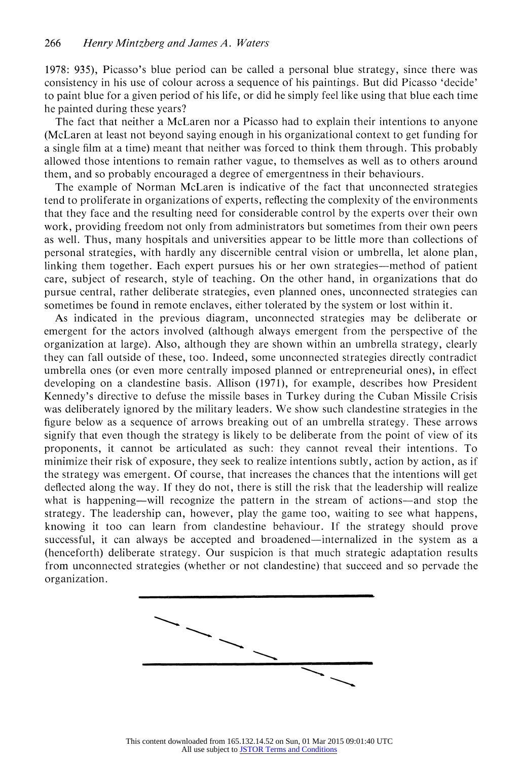**1978: 935), Picasso's blue period can be called a personal blue strategy, since there was consistency in his use of colour across a sequence of his paintings. But did Picasso 'decide' to paint blue for a given period of his life, or did he simply feel like using that blue each time he painted during these years?** 

**The fact that neither a McLaren nor a Picasso had to explain their intentions to anyone (McLaren at least not beyond saying enough in his organizational context to get funding for a single film at a time) meant that neither was forced to think them through. This probably allowed those intentions to remain rather vague, to themselves as well as to others around them, and so probably encouraged a degree of emergentness in their behaviours.** 

**The example of Norman McLaren is indicative of the fact that unconnected strategies tend to proliferate in organizations of experts, reflecting the complexity of the environments that they face and the resulting need for considerable control by the experts over their own work, providing freedom not only from administrators but sometimes from their own peers as well. Thus, many hospitals and universities appear to be little more than collections of personal strategies, with hardly any discernible central vision or umbrella, let alone plan, linking them together. Each expert pursues his or her own strategies-method of patient care, subject of research, style of teaching. On the other hand, in organizations that do pursue central, rather deliberate strategies, even planned ones, unconnected strategies can sometimes be found in remote enclaves, either tolerated by the system or lost within it.** 

**As indicated in the previous diagram, unconnected strategies may be deliberate or emergent for the actors involved (although always emergent from the perspective of the organization at large). Also, although they are shown within an umbrella strategy, clearly they can fall outside of these, too. Indeed, some unconnected strategies directly contradict umbrella ones (or even more centrally imposed planned or entrepreneurial ones), in effect developing on a clandestine basis. Allison (1971), for example, describes how President Kennedy's directive to defuse the missile bases in Turkey during the Cuban Missile Crisis was deliberately ignored by the military leaders. We show such clandestine strategies in the figure below as a sequence of arrows breaking out of an umbrella strategy. These arrows signify that even though the strategy is likely to be deliberate from the point of view of its proponents, it cannot be articulated as such: they cannot reveal their intentions. To minimize their risk of exposure, they seek to realize intentions subtly, action by action, as if the strategy was emergent. Of course, that increases the chances that the intentions will get deflected along the way. If they do not, there is still the risk that the leadership will realize**  what is happening—will recognize the pattern in the stream of actions—and stop the **strategy. The leadership can, however, play the game too, waiting to see what happens, knowing it too can learn from clandestine behaviour. If the strategy should prove successful, it can always be accepted and broadened-internalized in the system as a (henceforth) deliberate strategy. Our suspicion is that much strategic adaptation results from unconnected strategies (whether or not clandestine) that succeed and so pervade the organization.** 

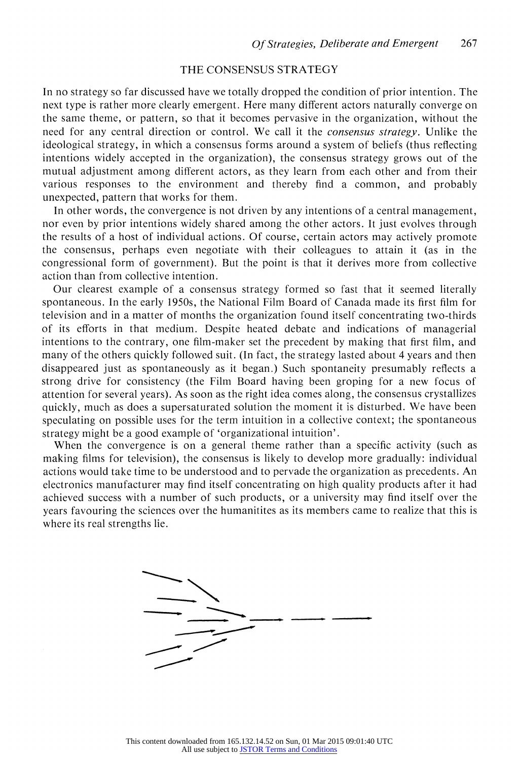### **THE CONSENSUS STRATEGY**

**In no strategy so far discussed have we totally dropped the condition of prior intention. The next type is rather more clearly emergent. Here many different actors naturally converge on the same theme, or pattern, so that it becomes pervasive in the organization, without the need for any central direction or control. We call it the consensus strategy. Unlike the ideological strategy, in which a consensus forms around a system of beliefs (thus reflecting intentions widely accepted in the organization), the consensus strategy grows out of the mutual adjustment among different actors, as they learn from each other and from their various responses to the environment and thereby find a common, and probably unexpected, pattern that works for them.** 

**In other words, the convergence is not driven by any intentions of a central management, nor even by prior intentions widely shared among the other actors. It just evolves through the results of a host of individual actions. Of course, certain actors may actively promote the consensus, perhaps even negotiate with their colleagues to attain it (as in the congressional form of government). But the point is that it derives more from collective action than from collective intention.** 

**Our clearest example of a consensus strategy formed so fast that it seemed literally spontaneous. In the early 1950s, the National Film Board of Canada made its first film for television and in a matter of months the organization found itself concentrating two-thirds of its efforts in that medium. Despite heated debate and indications of managerial intentions to the contrary, one film-maker set the precedent by making that first film, and many of the others quickly followed suit. (In fact, the strategy lasted about 4 years and then disappeared just as spontaneously as it began.) Such spontaneity presumably reflects a strong drive for consistency (the Film Board having been groping for a new focus of attention for several years). As soon as the right idea comes along, the consensus crystallizes quickly, much as does a supersaturated solution the moment it is disturbed. We have been speculating on possible uses for the term intuition in a collective context; the spontaneous strategy might be a good example of 'organizational intuition'.** 

**When the convergence is on a general theme rather than a specific activity (such as making films for television), the consensus is likely to develop more gradually: individual actions would take time to be understood and to pervade the organization as precedents. An electronics manufacturer may find itself concentrating on high quality products after it had achieved success with a number of such products, or a university may find itself over the years favouring the sciences over the humanitites as its members came to realize that this is where its real strengths lie.** 

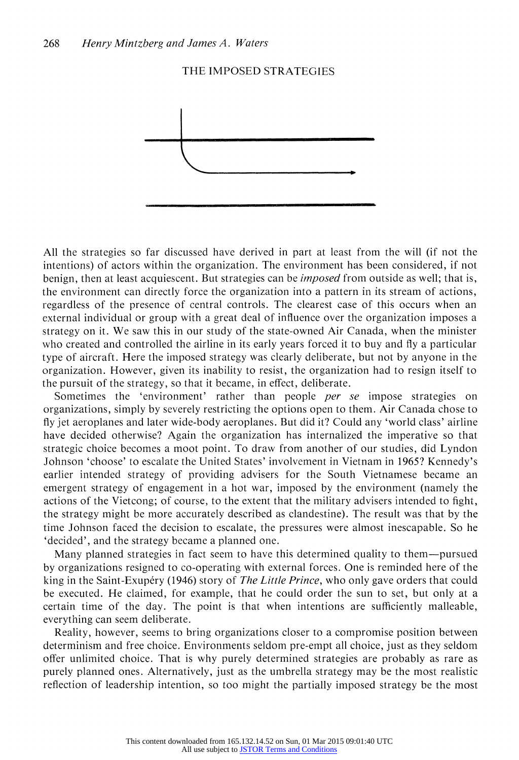# **THE IMPOSED STRATEGIES**



**All the strategies so far discussed have derived in part at least from the will (if not the intentions) of actors within the organization. The environment has been considered, if not benign, then at least acquiescent. But strategies can be imposed from outside as well; that is, the environment can directly force the organization into a pattern in its stream of actions, regardless of the presence of central controls. The clearest case of this occurs when an external individual or group with a great deal of influence over the organization imposes a strategy on it. We saw this in our study of the state-owned Air Canada, when the minister who created and controlled the airline in its early years forced it to buy and fly a particular type of aircraft. Here the imposed strategy was clearly deliberate, but not by anyone in the organization. However, given its inability to resist, the organization had to resign itself to the pursuit of the strategy, so that it became, in effect, deliberate.** 

**Sometimes the 'environment' rather than people per se impose strategies on organizations, simply by severely restricting the options open to them. Air Canada chose to fly jet aeroplanes and later wide-body aeroplanes. But did it? Could any 'world class' airline have decided otherwise? Again the organization has internalized the imperative so that strategic choice becomes a moot point. To draw from another of our studies, did Lyndon Johnson 'choose' to escalate the United States' involvement in Vietnam in 1965? Kennedy's earlier intended strategy of providing advisers for the South Vietnamese became an emergent strategy of engagement in a hot war, imposed by the environment (namely the actions of the Vietcong; of course, to the extent that the military advisers intended to fight, the strategy might be more accurately described as clandestine). The result was that by the time Johnson faced the decision to escalate, the pressures were almost inescapable. So he 'decided', and the strategy became a planned one.** 

**Many planned strategies in fact seem to have this determined quality to them-pursued by organizations resigned to co-operating with external forces. One is reminded here of the king in the Saint-Exupery (1946) story of The Little Prince, who only gave orders that could be executed. He claimed, for example, that he could order the sun to set, but only at a certain time of the day. The point is that when intentions are sufficiently malleable, everything can seem deliberate.** 

**Reality, however, seems to bring organizations closer to a compromise position between determinism and free choice. Environments seldom pre-empt all choice, just as they seldom offer unlimited choice. That is why purely determined strategies are probably as rare as purely planned ones. Alternatively, just as the umbrella strategy may be the most realistic reflection of leadership intention, so too might the partially imposed strategy be the most**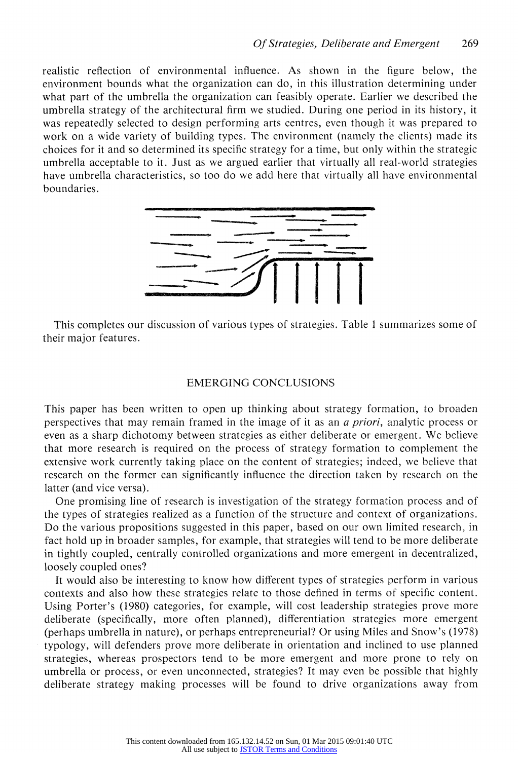**realistic reflection of environmental influence. As shown in the figure below, the environment bounds what the organization can do, in this illustration determining under what part of the umbrella the organization can feasibly operate. Earlier we described the umbrella strategy of the architectural firm we studied. During one period in its history, it was repeatedly selected to design performing arts centres, even though it was prepared to work on a wide variety of building types. The environment (namely the clients) made its choices for it and so determined its specific strategy for a time, but only within the strategic umbrella acceptable to it. Just as we argued earlier that virtually all real-world strategies have umbrella characteristics, so too do we add here that virtually all have environmental boundaries.** 



**This completes our discussion of various types of strategies. Table I summiarizes some of their major features.** 

# **EMERGING CONCLUSIONS**

**This paper has been written to open up thinking about strategy formation, to broaden**  perspectives that may remain framed in the image of it as an *a priori*, analytic process or even as a sharp dichotomy between strategies as either deliberate or emergent. We believe that more research is required on the process of strategy formation to complement the **extensive work currently taking place on the content of strategies; indeed, we believe that research on the former can significantly influence the direction taken by research on the latter (and vice versa).** 

One promising line of research is investigation of the strategy formation process and of the types of strategies realized as a function of the structure and context of organizations. **Do the various propositions suggested in this paper, based on our own limited research, in fact hold up in broader samples, for example, that strategies will tend to be more deliberate in tightly coupled, centrally controlled organizations and more emergent in decentralized, loosely coupled ones?** 

It would also be interesting to know how different types of strategies perform in various **contexts and also how these strategies relate to those defined in termis of specific content. Using Porter's (1980) categories, for example, will cost leadership strategies prove more**  deliberate (specifically, more often planned), differentiation strategies more emergent (perhaps umbrella in nature), or perhaps entrepreneurial? Or using Miles and Snow's (1978) typology, will defenders prove more deliberate in orientation and inclined to use planned **strategies, whereas prospectors tend to be more emergent and more prone to rely on**  umbrella or process, or even unconnected, strategies? It may even be possible that highly **deliberate strategy making processes will be found to drive organizations away from**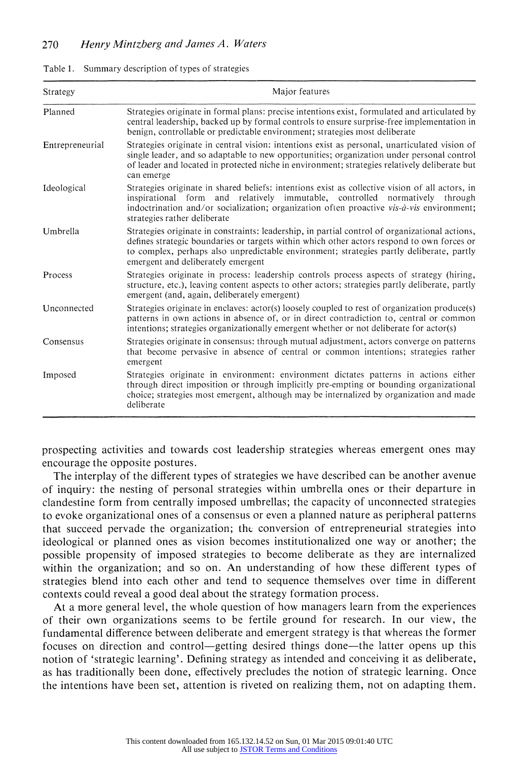| Strategy        | Major features                                                                                                                                                                                                                                                                                                                 |
|-----------------|--------------------------------------------------------------------------------------------------------------------------------------------------------------------------------------------------------------------------------------------------------------------------------------------------------------------------------|
| Planned         | Strategies originate in formal plans: precise intentions exist, formulated and articulated by<br>central leadership, backed up by formal controls to ensure surprise-free implementation in<br>benign, controllable or predictable environment; strategies most deliberate                                                     |
| Entrepreneurial | Strategies originate in central vision: intentions exist as personal, unarticulated vision of<br>single leader, and so adaptable to new opportunities; organization under personal control<br>of leader and located in protected niche in environment; strategies relatively deliberate but<br>can emerge                      |
| Ideological     | Strategies originate in shared beliefs: intentions exist as collective vision of all actors, in<br>and relatively immutable, controlled normatively through<br>inspirational form<br>indoctrination and/or socialization; organization often proactive $vis-\partial - vis$ environment;<br>strategies rather deliberate       |
| Umbrella        | Strategies originate in constraints: leadership, in partial control of organizational actions,<br>defines strategic boundaries or targets within which other actors respond to own forces or<br>to complex, perhaps also unpredictable environment; strategies partly deliberate, partly<br>emergent and deliberately emergent |
| Process         | Strategies originate in process: leadership controls process aspects of strategy (hiring,<br>structure, etc.), leaving content aspects to other actors; strategies partly deliberate, partly<br>emergent (and, again, deliberately emergent)                                                                                   |
| Unconnected     | Strategies originate in enclaves: actor(s) loosely coupled to rest of organization produce(s)<br>patterns in own actions in absence of, or in direct contradiction to, central or common<br>intentions; strategies organizationally emergent whether or not deliberate for actor(s)                                            |
| Consensus       | Strategies originate in consensus: through mutual adjustment, actors converge on patterns<br>that become pervasive in absence of central or common intentions; strategies rather<br>emergent                                                                                                                                   |
| Imposed         | Strategies originate in environment: environment dictates patterns in actions either<br>through direct imposition or through implicitly pre-empting or bounding organizational<br>choice; strategies most emergent, although may be internalized by organization and made<br>deliberate                                        |

**Table 1. Summary description of types of strategies** 

**prospecting activities and towards cost leadership strategies whereas emergent ones may encourage the opposite postures.** 

**The interplay of the different types of strategies we have described can be another avenue of inquiry: the nesting of personal strategies within umbrella ones or their departure in clandestine form from centrally imposed umbrellas; the capacity of unconnected strategies to evoke organizational ones of a consensus or even a planned nature as peripheral patterns that succeed pervade the organization; the conversion of entrepreneurial strategies into ideological or planned ones as vision becomes institutionalized one way or another; the possible propensity of imposed strategies to become deliberate as they are internalized within the organization; and so on. An understanding of how these different types of strategies blend into each other and tend to sequence themselves over time in different contexts could reveal a good deal about the strategy formation process.** 

**At a more general level, the whole question of how managers learn from the experiences of their own organizations seems to be fertile ground for research. In our view, the fundamental difference between deliberate and emergent strategy is that whereas the former**  focuses on direction and control-getting desired things done-the latter opens up this **notion of 'strategic learning'. Defining strategy as intended and conceiving it as deliberate, as has traditionally been done, effectively precludes the notion of strategic learning. Once the intentions have been set, attention is riveted on realizing them, not on adapting them.**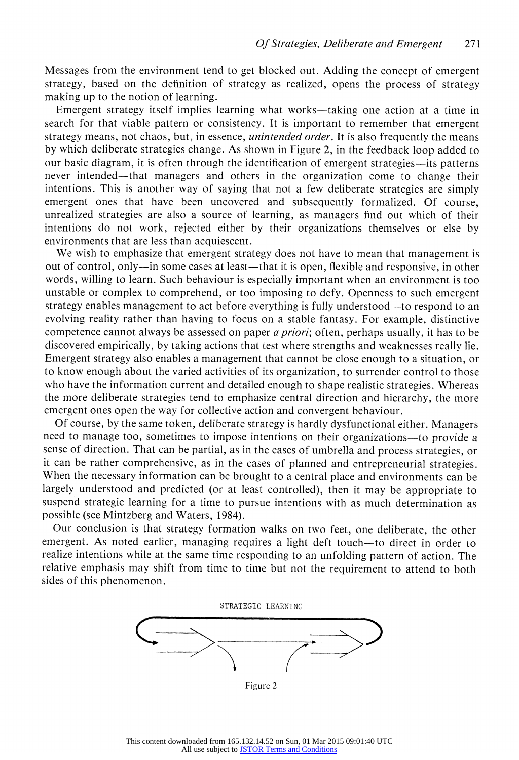**Messages from the environment tend to get blocked out. Adding the concept of emergent strategy, based on the definition of strategy as realized, opens the process of strategy making up to the notion of learning.** 

Emergent strategy itself implies learning what works—taking one action at a time in **search for that viable pattern or consistency. It is important to remember that emergent strategy means, not chaos, but, in essence, unintended order. It is also frequently the means by which deliberate strategies change. As shown in Figure 2, in the feedback loop added to our basic diagram, it is often through the identification of emergent strategies-its patterns never intended-that managers and others in the organization come to change their intentions. This is another way of saying that not a few deliberate strategies are simply emergent ones that have been uncovered and subsequently formalized. Of course, unrealized strategies are also a source of learning, as managers find out which of their intentions do not work, rejected either by their organizations themselves or else by environments that are less than acquiescent.** 

**We wish to emphasize that emergent strategy does not have to mean that management is**  out of control, only—in some cases at least—that it is open, flexible and responsive, in other **words, willing to learn. Such behaviour is especially important when an environment is too unstable or complex to comprehend, or too imposing to defy. Openness to such emergent strategy enables management to act before everything is fully understood-to respond to an evolving reality rather than having to focus on a stable fantasy. For example, distinctive competence cannot always be assessed on paper a priori; often, perhaps usually, it has to be discovered empirically, by taking actions that test where strengths and weaknesses really lie. Emergent strategy also enables a management that cannot be close enough to a situation, or to know enough about the varied activities of its organization, to surrender control to those who have the information current and detailed enough to shape realistic strategies. Whereas the more deliberate strategies tend to emphasize central direction and hierarchy, the more emergent ones open the way for collective action and convergent behaviour.** 

**Of course, by the same token, deliberate strategy is hardly dysfunctional either. Managers need to manage too, sometimes to impose intentions on their organizations-to provide a sense of direction. That can be partial, as in the cases of umbrella and process strategies, or it can be rather comprehensive, as in the cases of planned and entrepreneurial strategies. When the necessary information can be brought to a central place and environments can be largely understood and predicted (or at least controlled), then it may be appropriate to suspend strategic learning for a time to pursue intentions with as much determination as possible (see Mintzberg and Waters, 1984).** 

**Our conclusion is that strategy formation walks on two feet, one deliberate, the other emergent. As noted earlier, managing requires a light deft touch-to direct in order to realize intentions while at the same time responding to an unfolding pattern of action. The relative emphasis may shift from time to time but not the requirement to attend to both sides of this phenomenon.** 



**Figure 2**